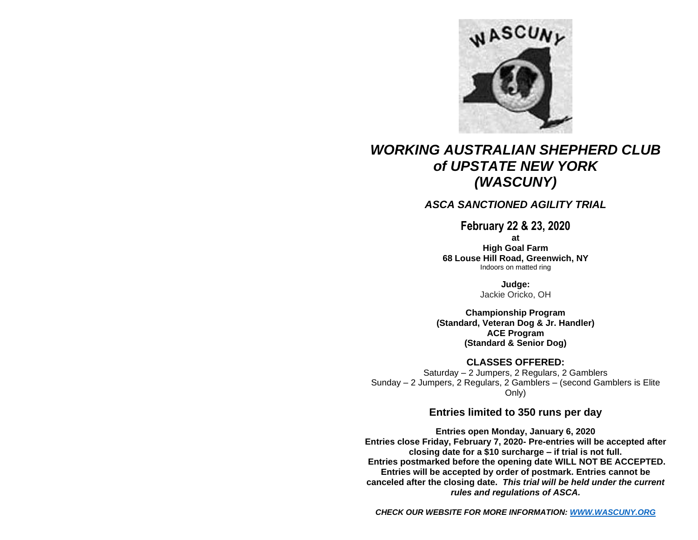

# *WORKING AUSTRALIAN SHEPHERD CLUB of UPSTATE NEW YORK (WASCUNY)*

## *ASCA SANCTIONED AGILITY TRIAL*

**February 22 & 23, 2020**

**at**

**High Goal Farm 68 Louse Hill Road, Greenwich, NY** Indoors on matted ring

> **Judge:** Jackie Oricko, OH

**Championship Program (Standard, Veteran Dog & Jr. Handler) ACE Program (Standard & Senior Dog)**

**CLASSES OFFERED:**

Saturday – 2 Jumpers, 2 Regulars, 2 Gamblers Sunday – 2 Jumpers, 2 Regulars, 2 Gamblers – (second Gamblers is Elite Only)

## **Entries limited to 350 runs per day**

**Entries open Monday, January 6, 2020 Entries close Friday, February 7, 2020- Pre-entries will be accepted after closing date for a \$10 surcharge – if trial is not full. Entries postmarked before the opening date WILL NOT BE ACCEPTED. Entries will be accepted by order of postmark. Entries cannot be canceled after the closing date.** *This trial will be held under the current rules and regulations of ASCA.* 

*CHECK OUR WEBSITE FOR MORE INFORMATION[: WWW.WASCUNY.ORG](http://www.wascuny.org/)*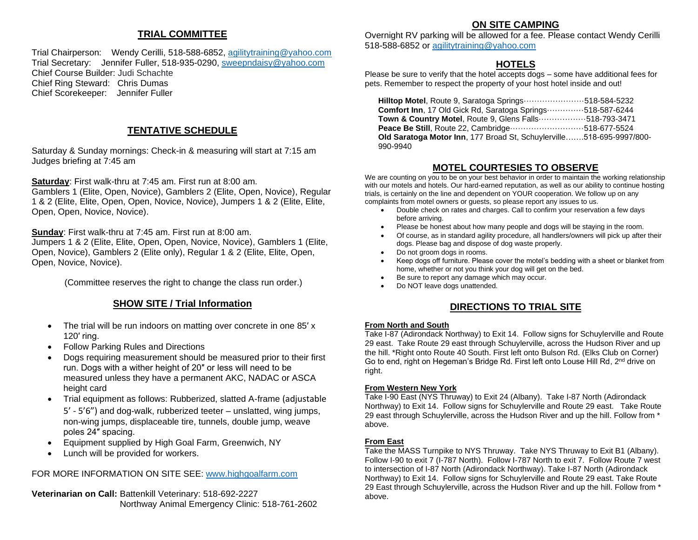## **TRIAL COMMITTEE**

Trial Chairperson: Wendy Cerilli, 518-588-6852, [agilitytraining@yahoo.com](mailto:agilitytraining@yahoo.com) Trial Secretary: Jennifer Fuller, 518-935-0290, [sweepndaisy@yahoo.com](mailto:sweepndaisy@yahoo.com) Chief Course Builder: Judi Schachte Chief Ring Steward: Chris Dumas Chief Scorekeeper: Jennifer Fuller

## **TENTATIVE SCHEDULE**

Saturday & Sunday mornings: Check-in & measuring will start at 7:15 am Judges briefing at 7:45 am

**Saturday**: First walk-thru at 7:45 am. First run at 8:00 am.

Gamblers 1 (Elite, Open, Novice), Gamblers 2 (Elite, Open, Novice), Regular 1 & 2 (Elite, Elite, Open, Open, Novice, Novice), Jumpers 1 & 2 (Elite, Elite, Open, Open, Novice, Novice).

**Sunday**: First walk-thru at 7:45 am. First run at 8:00 am.

Jumpers 1 & 2 (Elite, Elite, Open, Open, Novice, Novice), Gamblers 1 (Elite, Open, Novice), Gamblers 2 (Elite only), Regular 1 & 2 (Elite, Elite, Open, Open, Novice, Novice).

(Committee reserves the right to change the class run order.)

### **SHOW SITE / Trial Information**

- The trial will be run indoors on matting over concrete in one 85' x 120′ ring.
- Follow Parking Rules and Directions
- Dogs requiring measurement should be measured prior to their first run. Dogs with a wither height of 20″ or less will need to be measured unless they have a permanent AKC, NADAC or ASCA height card
- Trial equipment as follows: Rubberized, slatted A-frame (adjustable 5' - 5'6") and dog-walk, rubberized teeter – unslatted, wing jumps, non-wing jumps, displaceable tire, tunnels, double jump, weave poles 24″ spacing.
- Equipment supplied by High Goal Farm, Greenwich, NY
- Lunch will be provided for workers.

### FOR MORE INFORMATION ON SITE SEE: [www.highgoalfarm.com](http://www.highgoalfarm.com/)

**Veterinarian on Call:** Battenkill Veterinary: 518-692-2227 Northway Animal Emergency Clinic: 518-761-2602

## **ON SITE CAMPING**

Overnight RV parking will be allowed for a fee. Please contact Wendy Cerilli 518-588-6852 or [agilitytraining@yahoo.com](mailto:agilitytraining@yahoo.com)

## **HOTELS**

Please be sure to verify that the hotel  $\overline{accepts}$  dogs – some have additional fees for pets. Remember to respect the property of your host hotel inside and out!

 **Hilltop Motel**, Route 9, Saratoga Springs·······················518-584-5232 **Comfort Inn**, 17 Old Gick Rd, Saratoga Springs··············518-587-6244 **Town & Country Motel**, Route 9, Glens Falls··················518-793-3471 **Peace Be Still**, Route 22, Cambridge····························518-677-5524  **Old Saratoga Motor Inn**, 177 Broad St, Schuylerville…….518-695-9997/800- 990-9940

## **MOTEL COURTESIES TO OBSERVE**

We are counting on you to be on your best behavior in order to maintain the working relationship with our motels and hotels. Our hard-earned reputation, as well as our ability to continue hosting trials, is certainly on the line and dependent on YOUR cooperation. We follow up on any complaints from motel owners or guests, so please report any issues to us.

- Double check on rates and charges. Call to confirm your reservation a few days before arriving.
- Please be honest about how many people and dogs will be staying in the room.
- Of course, as in standard agility procedure, all handlers/owners will pick up after their dogs. Please bag and dispose of dog waste properly.
- Do not groom dogs in rooms.
- Keep dogs off furniture. Please cover the motel's bedding with a sheet or blanket from home, whether or not you think your dog will get on the bed.
- Be sure to report any damage which may occur.
- Do NOT leave dogs unattended.

## **DIRECTIONS TO TRIAL SITE**

### **From North and South**

Take I-87 (Adirondack Northway) to Exit 14. Follow signs for Schuylerville and Route 29 east. Take Route 29 east through Schuylerville, across the Hudson River and up the hill. \*Right onto Route 40 South. First left onto Bulson Rd. (Elks Club on Corner) Go to end, right on Hegeman's Bridge Rd. First left onto Louse Hill Rd, 2<sup>nd</sup> drive on right.

### **From Western New York**

Take I-90 East (NYS Thruway) to Exit 24 (Albany). Take I-87 North (Adirondack Northway) to Exit 14. Follow signs for Schuylerville and Route 29 east. Take Route 29 east through Schuylerville, across the Hudson River and up the hill. Follow from \* above.

### **From East**

Take the MASS Turnpike to NYS Thruway. Take NYS Thruway to Exit B1 (Albany). Follow I-90 to exit 7 (I-787 North). Follow I-787 North to exit 7. Follow Route 7 west to intersection of I-87 North (Adirondack Northway). Take I-87 North (Adirondack Northway) to Exit 14. Follow signs for Schuylerville and Route 29 east. Take Route 29 East through Schuylerville, across the Hudson River and up the hill. Follow from \* above.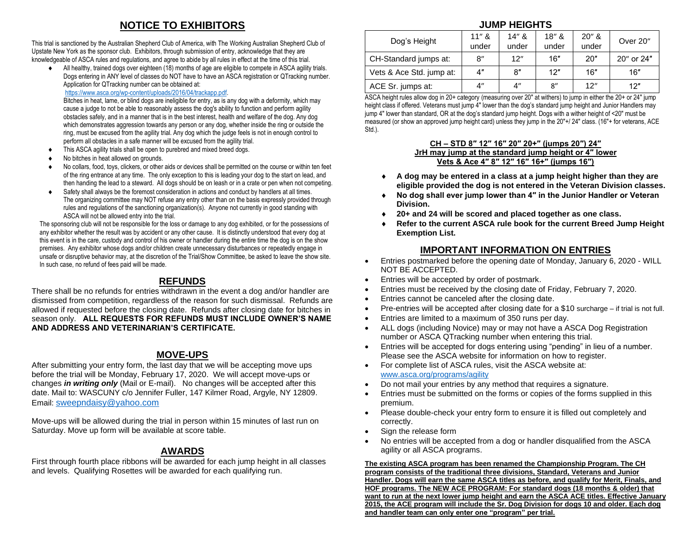## **NOTICE TO EXHIBITORS**

This trial is sanctioned by the Australian Shepherd Club of America, with The Working Australian Shepherd Club of Upstate New York as the sponsor club. Exhibitors, through submission of entry, acknowledge that they are knowledgeable of ASCA rules and regulations, and agree to abide by all rules in effect at the time of this trial.

All healthy, trained dogs over eighteen (18) months of age are eligible to compete in ASCA agility trials. Dogs entering in ANY level of classes do NOT have to have an ASCA registration or QTracking number. Application for QTracking number can be obtained at:

[https://www.asca.org/wp-content/uploads/2016/04/trackapp.pdf.](https://www.asca.org/wp-content/uploads/2016/04/trackapp.pdf)

 Bitches in heat, lame, or blind dogs are ineligible for entry, as is any dog with a deformity, which may cause a judge to not be able to reasonably assess the dog's ability to function and perform agility obstacles safely, and in a manner that is in the best interest, health and welfare of the dog. Any dog which demonstrates aggression towards any person or any dog, whether inside the ring or outside the ring, must be excused from the agility trial. Any dog which the judge feels is not in enough control to perform all obstacles in a safe manner will be excused from the agility trial.

- This ASCA agility trials shall be open to purebred and mixed breed dogs.
- No bitches in heat allowed on grounds.
- No collars, food, toys, clickers, or other aids or devices shall be permitted on the course or within ten feet of the ring entrance at any time. The only exception to this is leading your dog to the start on lead, and then handing the lead to a steward. All dogs should be on leash or in a crate or pen when not competing.
- Safety shall always be the foremost consideration in actions and conduct by handlers at all times. The organizing committee may NOT refuse any entry other than on the basis expressly provided through rules and regulations of the sanctioning organization(s). Anyone not currently in good standing with ASCA will not be allowed entry into the trial.

The sponsoring club will not be responsible for the loss or damage to any dog exhibited, or for the possessions of any exhibitor whether the result was by accident or any other cause. It is distinctly understood that every dog at this event is in the care, custody and control of his owner or handler during the entire time the dog is on the show premises. Any exhibitor whose dogs and/or children create unnecessary disturbances or repeatedly engage in unsafe or disruptive behavior may, at the discretion of the Trial/Show Committee, be asked to leave the show site. In such case, no refund of fees paid will be made.

## **REFUNDS**

There shall be no refunds for entries withdrawn in the event a dog and/or handler are dismissed from competition, regardless of the reason for such dismissal. Refunds are allowed if requested before the closing date. Refunds after closing date for bitches in season only. **ALL REQUESTS FOR REFUNDS MUST INCLUDE OWNER'S NAME AND ADDRESS AND VETERINARIAN'S CERTIFICATE.**

### **MOVE-UPS**

After submitting your entry form, the last day that we will be accepting move ups before the trial will be Monday, February 17, 2020. We will accept move-ups or changes *in writing only* (Mail or E-mail). No changes will be accepted after this date. Mail to: WASCUNY c/o Jennifer Fuller, 147 Kilmer Road, Argyle, NY 12809. Email: [sweepndaisy@yahoo.com](mailto:sweepndaisy@yahoo.com)

Move-ups will be allowed during the trial in person within 15 minutes of last run on Saturday. Move up form will be available at score table.

### **AWARDS**

First through fourth place ribbons will be awarded for each jump height in all classes and levels. Qualifying Rosettes will be awarded for each qualifying run.

### **JUMP HEIGHTS**

| Dog's Height             | 11'' &<br>under    | 14'' k<br>under    | 18" &<br>$20''$ &<br>under<br>under |     | Over 20"   |  |
|--------------------------|--------------------|--------------------|-------------------------------------|-----|------------|--|
| CH-Standard jumps at:    | 8″                 | 12"                | 16"                                 | 20" | 20" or 24" |  |
| Vets & Ace Std. jump at: | 4"                 | 8"                 | 12"                                 | 16" | 16"        |  |
| ACE Sr. jumps at:        | $4^{\prime\prime}$ | $4^{\prime\prime}$ | 8''                                 | 12" | 12"        |  |

ASCA height rules allow dog in 20+ category (measuring over 20″ at withers) to jump in either the 20+ or 24″ jump height class if offered. Veterans must jump 4" lower than the dog's standard jump height and Junior Handlers may jump 4″ lower than standard, OR at the dog's standard jump height. Dogs with a wither height of <20″ must be measured (or show an approved jump height card) unless they jump in the 20″+/ 24″ class. (16″+ for veterans, ACE Std.).

#### **CH – STD 8″ 12″ 16″ 20″ 20+″ (jumps 20″) 24″ JrH may jump at the standard jump height or 4″ lower Vets & Ace 4″ 8″ 12″ 16″ 16+″ (jumps 16″)**

- **A dog may be entered in a class at a jump height higher than they are eligible provided the dog is not entered in the Veteran Division classes.**
- **No dog shall ever jump lower than 4″ in the Junior Handler or Veteran Division.**
- **20+ and 24 will be scored and placed together as one class.**
- **Refer to the current ASCA rule book for the current Breed Jump Height Exemption List.**

## **IMPORTANT INFORMATION ON ENTRIES**

- Entries postmarked before the opening date of Monday, January 6, 2020 WILL NOT BE ACCEPTED.
- Entries will be accepted by order of postmark.
- Entries must be received by the closing date of Friday, February 7, 2020.
- Entries cannot be canceled after the closing date.
- Pre-entries will be accepted after closing date for a \$10 surcharge if trial is not full.
- Entries are limited to a maximum of 350 runs per day.
- ALL dogs (including Novice) may or may not have a ASCA Dog Registration number or ASCA QTracking number when entering this trial.
- Entries will be accepted for dogs entering using "pending" in lieu of a number. Please see the ASCA website for information on how to register.
- For complete list of ASCA rules, visit the ASCA website at: [www.asca.org/programs/agility](http://www.asca.org/programs/agility)
- Do not mail your entries by any method that requires a signature.
- Entries must be submitted on the forms or copies of the forms supplied in this premium.
- Please double-check your entry form to ensure it is filled out completely and correctly.
- Sign the release form
- No entries will be accepted from a dog or handler disqualified from the ASCA agility or all ASCA programs.

**The existing ASCA program has been renamed the Championship Program. The CH program consists of the traditional three divisions, Standard, Veterans and Junior Handler. Dogs will earn the same ASCA titles as before, and qualify for Merit, Finals, and HOF programs. The NEW ACE PROGRAM: For standard dogs (18 months & older) that want to run at the next lower jump height and earn the ASCA ACE titles. Effective January 2015, the ACE program will include the Sr. Dog Division for dogs 10 and older. Each dog and handler team can only enter one "program" per trial.**